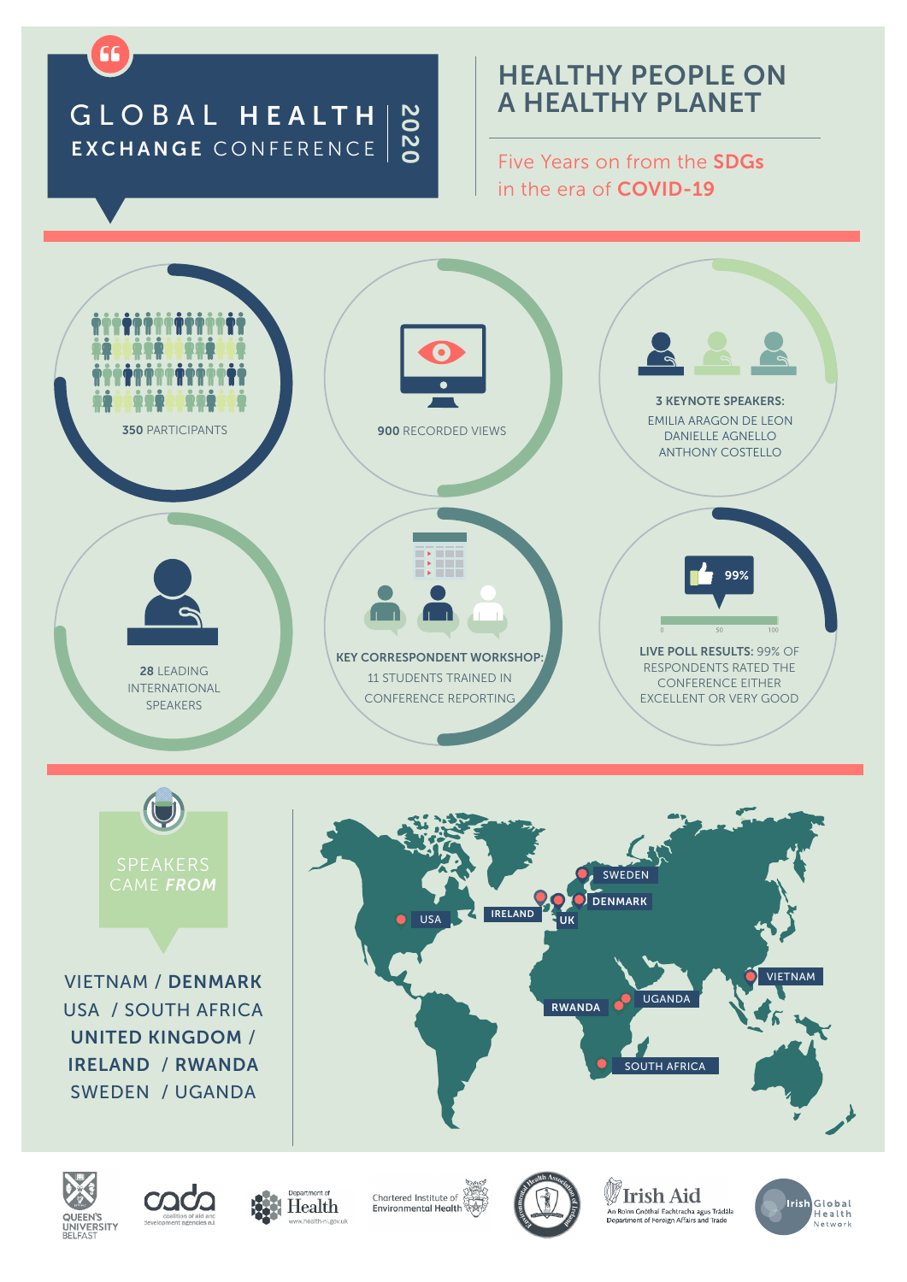## GLOBAL HEALTH EXCHANGE CONFERENCE 2020

66

## HEALTHY PEOPLE ON A HEALTHY PLANET

Five Years on from the SDGs in the era of COVID-19

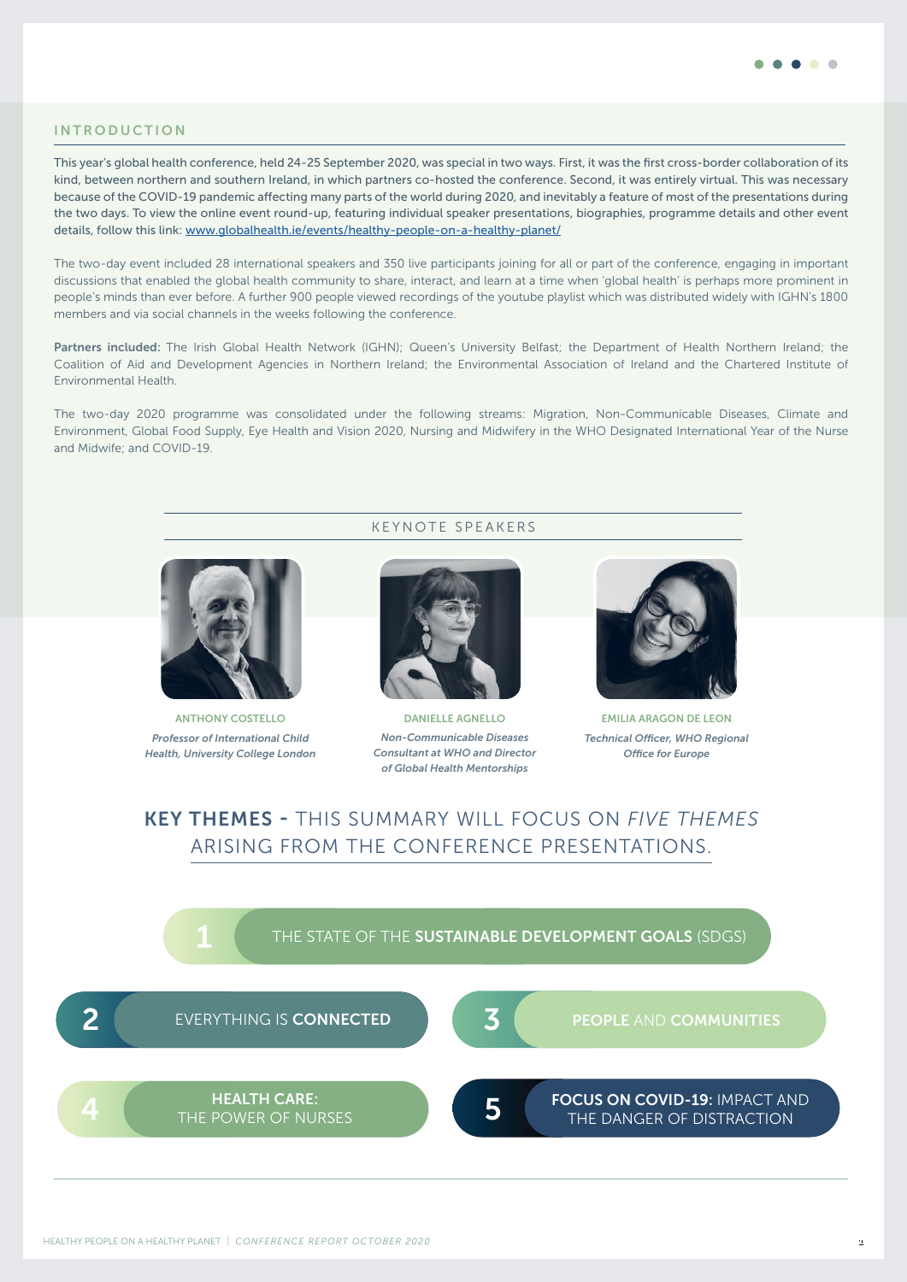

#### INTRODUCTION

This year's global health conference, held 24-25 September 2020, was special in two ways. First, it was the first cross-border collaboration of its kind, between northern and southern Ireland, in which partners co-hosted the conference. Second, it was entirely virtual. This was necessary because of the COVID-19 pandemic affecting many parts of the world during 2020, and inevitably a feature of most of the presentations during the two days. To view the online event round-up, featuring individual speaker presentations, biographies, programme details and other event details, follow this link: [www.globalhealth.ie/events/healthy-people-on-a-healthy-planet/](http://www.globalhealth.ie/events/healthy-people-on-a-healthy-planet/)

The two-day event included 28 international speakers and 350 live participants joining for all or part of the conference, engaging in important discussions that enabled the global health community to share, interact, and learn at a time when 'global health' is perhaps more prominent in people's minds than ever before. A further 900 people viewed recordings of the youtube playlist which was distributed widely with IGHN's 1800 members and via social channels in the weeks following the conference.

Partners included: The Irish Global Health Network (IGHN); Queen's University Belfast; the Department of Health Northern Ireland; the Coalition of Aid and Development Agencies in Northern Ireland; the Environmental Association of Ireland and the Chartered Institute of Environmental Health.

The two-day 2020 programme was consolidated under the following streams: Migration, Non-Communicable Diseases, Climate and Environment, Global Food Supply, Eye Health and Vision 2020, Nursing and Midwifery in the WHO Designated International Year of the Nurse and Midwife; and COVID-19.

KEYNOTE SPEAKERS



ANTHONY COSTELLO *Professor of International Child Health, University College London*



DANIELLE AGNELLO *Non-Communicable Diseases Consultant at WHO and Director of Global Health Mentorships*



EMILIA ARAGON DE LEON *Technical Officer, WHO Regional Office for Europe*

## KEY THEMES - THIS SUMMARY WILL FOCUS ON *FIVE THEMES*  ARISING FROM THE CONFERENCE PRESENTATIONS.

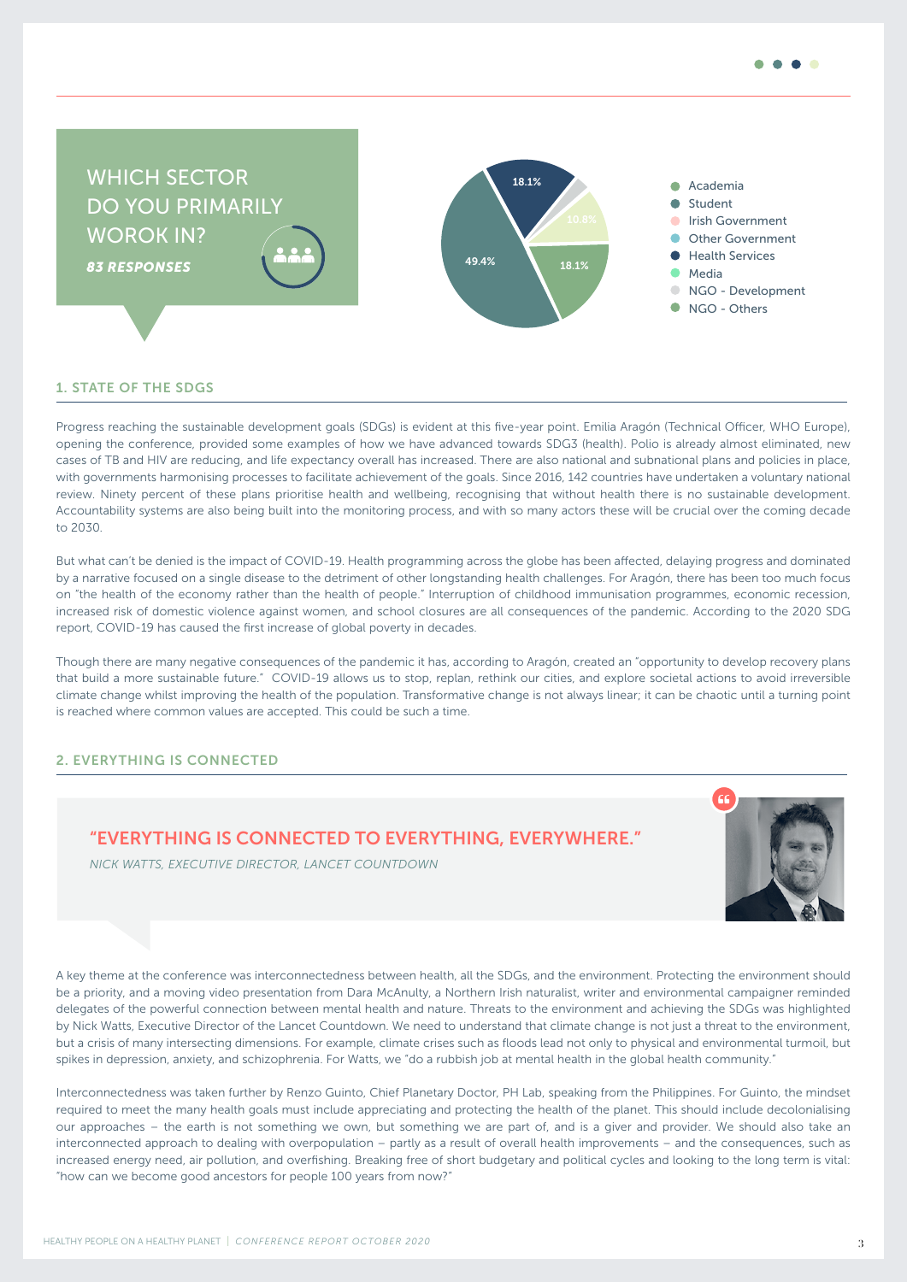

#### 1. STATE OF THE SDGS

Progress reaching the sustainable development goals (SDGs) is evident at this five-year point. Emilia Aragón (Technical Officer, WHO Europe), opening the conference, provided some examples of how we have advanced towards SDG3 (health). Polio is already almost eliminated, new cases of TB and HIV are reducing, and life expectancy overall has increased. There are also national and subnational plans and policies in place, with governments harmonising processes to facilitate achievement of the goals. Since 2016, 142 countries have undertaken a voluntary national review. Ninety percent of these plans prioritise health and wellbeing, recognising that without health there is no sustainable development. Accountability systems are also being built into the monitoring process, and with so many actors these will be crucial over the coming decade to 2030.

But what can't be denied is the impact of COVID-19. Health programming across the globe has been affected, delaying progress and dominated by a narrative focused on a single disease to the detriment of other longstanding health challenges. For Aragón, there has been too much focus on "the health of the economy rather than the health of people." Interruption of childhood immunisation programmes, economic recession, increased risk of domestic violence against women, and school closures are all consequences of the pandemic. According to the 2020 SDG report, COVID-19 has caused the first increase of global poverty in decades.

Though there are many negative consequences of the pandemic it has, according to Aragón, created an "opportunity to develop recovery plans that build a more sustainable future." COVID-19 allows us to stop, replan, rethink our cities, and explore societal actions to avoid irreversible climate change whilst improving the health of the population. Transformative change is not always linear; it can be chaotic until a turning point is reached where common values are accepted. This could be such a time.

#### 2. EVERYTHING IS CONNECTED

### "EVERYTHING IS CONNECTED TO EVERYTHING, EVERYWHERE."



 *NICK WATTS, EXECUTIVE DIRECTOR, LANCET COUNTDOWN*

A key theme at the conference was interconnectedness between health, all the SDGs, and the environment. Protecting the environment should be a priority, and a moving video presentation from Dara McAnulty, a Northern Irish naturalist, writer and environmental campaigner reminded delegates of the powerful connection between mental health and nature. Threats to the environment and achieving the SDGs was highlighted by Nick Watts, Executive Director of the Lancet Countdown. We need to understand that climate change is not just a threat to the environment, but a crisis of many intersecting dimensions. For example, climate crises such as floods lead not only to physical and environmental turmoil, but spikes in depression, anxiety, and schizophrenia. For Watts, we "do a rubbish job at mental health in the global health community."

Interconnectedness was taken further by Renzo Guinto, Chief Planetary Doctor, PH Lab, speaking from the Philippines. For Guinto, the mindset required to meet the many health goals must include appreciating and protecting the health of the planet. This should include decolonialising our approaches – the earth is not something we own, but something we are part of, and is a giver and provider. We should also take an interconnected approach to dealing with overpopulation – partly as a result of overall health improvements – and the consequences, such as increased energy need, air pollution, and overfishing. Breaking free of short budgetary and political cycles and looking to the long term is vital: "how can we become good ancestors for people 100 years from now?"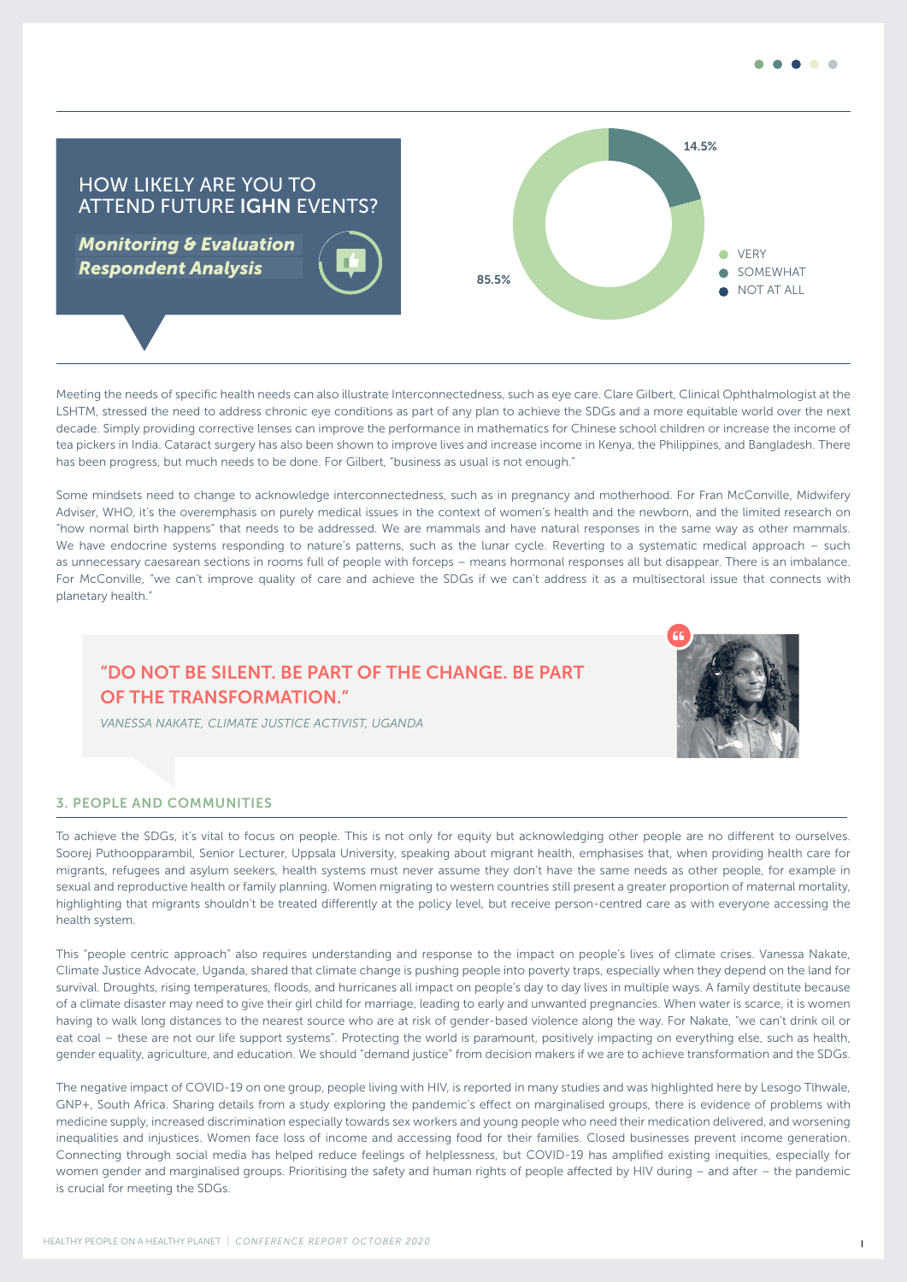

HOW LIKELY ARE YOU TO ATTEND FUTURE IGHN EVENTS?

*Monitoring & Evaluation Respondent Analysis*



Meeting the needs of specific health needs can also illustrate Interconnectedness, such as eye care. Clare Gilbert, Clinical Ophthalmologist at the LSHTM, stressed the need to address chronic eye conditions as part of any plan to achieve the SDGs and a more equitable world over the next decade. Simply providing corrective lenses can improve the performance in mathematics for Chinese school children or increase the income of tea pickers in India. Cataract surgery has also been shown to improve lives and increase income in Kenya, the Philippines, and Bangladesh. There has been progress, but much needs to be done. For Gilbert, "business as usual is not enough."

Some mindsets need to change to acknowledge interconnectedness, such as in pregnancy and motherhood. For Fran McConville, Midwifery Adviser, WHO, it's the overemphasis on purely medical issues in the context of women's health and the newborn, and the limited research on "how normal birth happens" that needs to be addressed. We are mammals and have natural responses in the same way as other mammals. We have endocrine systems responding to nature's patterns, such as the lunar cycle. Reverting to a systematic medical approach – such as unnecessary caesarean sections in rooms full of people with forceps – means hormonal responses all but disappear. There is an imbalance. For McConville, "we can't improve quality of care and achieve the SDGs if we can't address it as a multisectoral issue that connects with planetary health."

## "DO NOT BE SILENT. BE PART OF THE CHANGE. BE PART OF THE TRANSFORMATION."



*VANESSA NAKATE, CLIMATE JUSTICE ACTIVIST, UGANDA*

#### 3. PEOPLE AND COMMUNITIES

To achieve the SDGs, it's vital to focus on people. This is not only for equity but acknowledging other people are no different to ourselves. Soorej Puthoopparambil, Senior Lecturer, Uppsala University, speaking about migrant health, emphasises that, when providing health care for migrants, refugees and asylum seekers, health systems must never assume they don't have the same needs as other people, for example in sexual and reproductive health or family planning. Women migrating to western countries still present a greater proportion of maternal mortality, highlighting that migrants shouldn't be treated differently at the policy level, but receive person-centred care as with everyone accessing the health system.

This "people centric approach" also requires understanding and response to the impact on people's lives of climate crises. Vanessa Nakate, Climate Justice Advocate, Uganda, shared that climate change is pushing people into poverty traps, especially when they depend on the land for survival. Droughts, rising temperatures, floods, and hurricanes all impact on people's day to day lives in multiple ways. A family destitute because of a climate disaster may need to give their girl child for marriage, leading to early and unwanted pregnancies. When water is scarce, it is women having to walk long distances to the nearest source who are at risk of gender-based violence along the way. For Nakate, "we can't drink oil or eat coal – these are not our life support systems". Protecting the world is paramount, positively impacting on everything else, such as health, gender equality, agriculture, and education. We should "demand justice" from decision makers if we are to achieve transformation and the SDGs.

The negative impact of COVID-19 on one group, people living with HIV, is reported in many studies and was highlighted here by Lesogo Tlhwale, GNP+, South Africa. Sharing details from a study exploring the pandemic's effect on marginalised groups, there is evidence of problems with medicine supply, increased discrimination especially towards sex workers and young people who need their medication delivered, and worsening inequalities and injustices. Women face loss of income and accessing food for their families. Closed businesses prevent income generation. Connecting through social media has helped reduce feelings of helplessness, but COVID-19 has amplified existing inequities, especially for women gender and marginalised groups. Prioritising the safety and human rights of people affected by HIV during – and after – the pandemic is crucial for meeting the SDGs.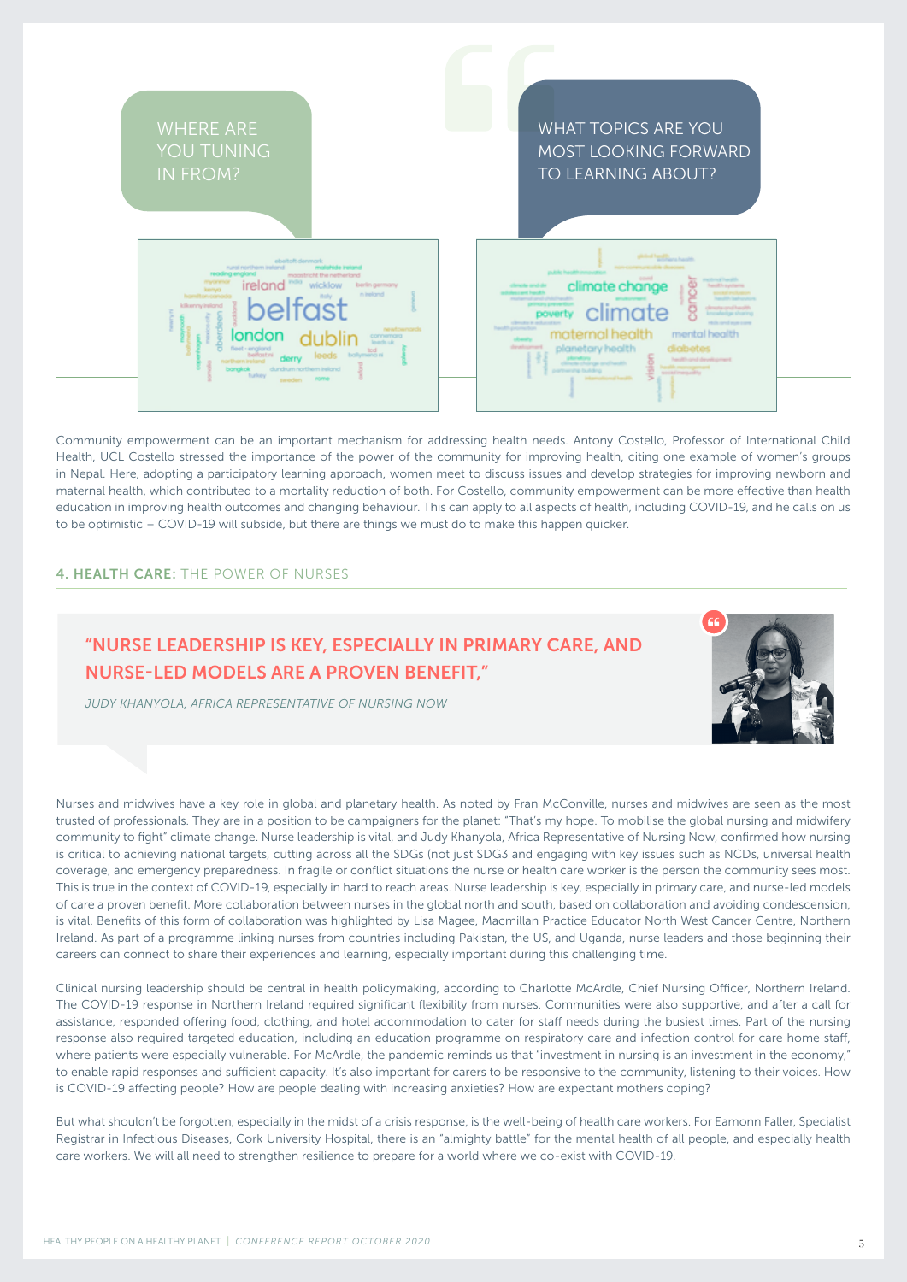

Community empowerment can be an important mechanism for addressing health needs. Antony Costello, Professor of International Child Health, UCL Costello stressed the importance of the power of the community for improving health, citing one example of women's groups in Nepal. Here, adopting a participatory learning approach, women meet to discuss issues and develop strategies for improving newborn and maternal health, which contributed to a mortality reduction of both. For Costello, community empowerment can be more effective than health education in improving health outcomes and changing behaviour. This can apply to all aspects of health, including COVID-19, and he calls on us to be optimistic – COVID-19 will subside, but there are things we must do to make this happen quicker.

#### 4. HEALTH CARE: THE POWER OF NURSES

## "NURSE LEADERSHIP IS KEY, ESPECIALLY IN PRIMARY CARE, AND NURSE-LED MODELS ARE A PROVEN BENEFIT,"





Nurses and midwives have a key role in global and planetary health. As noted by Fran McConville, nurses and midwives are seen as the most trusted of professionals. They are in a position to be campaigners for the planet: "That's my hope. To mobilise the global nursing and midwifery community to fight" climate change. Nurse leadership is vital, and Judy Khanyola, Africa Representative of Nursing Now, confirmed how nursing is critical to achieving national targets, cutting across all the SDGs (not just SDG3 and engaging with key issues such as NCDs, universal health coverage, and emergency preparedness. In fragile or conflict situations the nurse or health care worker is the person the community sees most. This is true in the context of COVID-19, especially in hard to reach areas. Nurse leadership is key, especially in primary care, and nurse-led models of care a proven benefit. More collaboration between nurses in the global north and south, based on collaboration and avoiding condescension, is vital. Benefits of this form of collaboration was highlighted by Lisa Magee, Macmillan Practice Educator North West Cancer Centre, Northern Ireland. As part of a programme linking nurses from countries including Pakistan, the US, and Uganda, nurse leaders and those beginning their careers can connect to share their experiences and learning, especially important during this challenging time.

Clinical nursing leadership should be central in health policymaking, according to Charlotte McArdle, Chief Nursing Officer, Northern Ireland. The COVID-19 response in Northern Ireland required significant flexibility from nurses. Communities were also supportive, and after a call for assistance, responded offering food, clothing, and hotel accommodation to cater for staff needs during the busiest times. Part of the nursing response also required targeted education, including an education programme on respiratory care and infection control for care home staff, where patients were especially vulnerable. For McArdle, the pandemic reminds us that "investment in nursing is an investment in the economy," to enable rapid responses and sufficient capacity. It's also important for carers to be responsive to the community, listening to their voices. How is COVID-19 affecting people? How are people dealing with increasing anxieties? How are expectant mothers coping?

But what shouldn't be forgotten, especially in the midst of a crisis response, is the well-being of health care workers. For Eamonn Faller, Specialist Registrar in Infectious Diseases, Cork University Hospital, there is an "almighty battle" for the mental health of all people, and especially health care workers. We will all need to strengthen resilience to prepare for a world where we co-exist with COVID-19.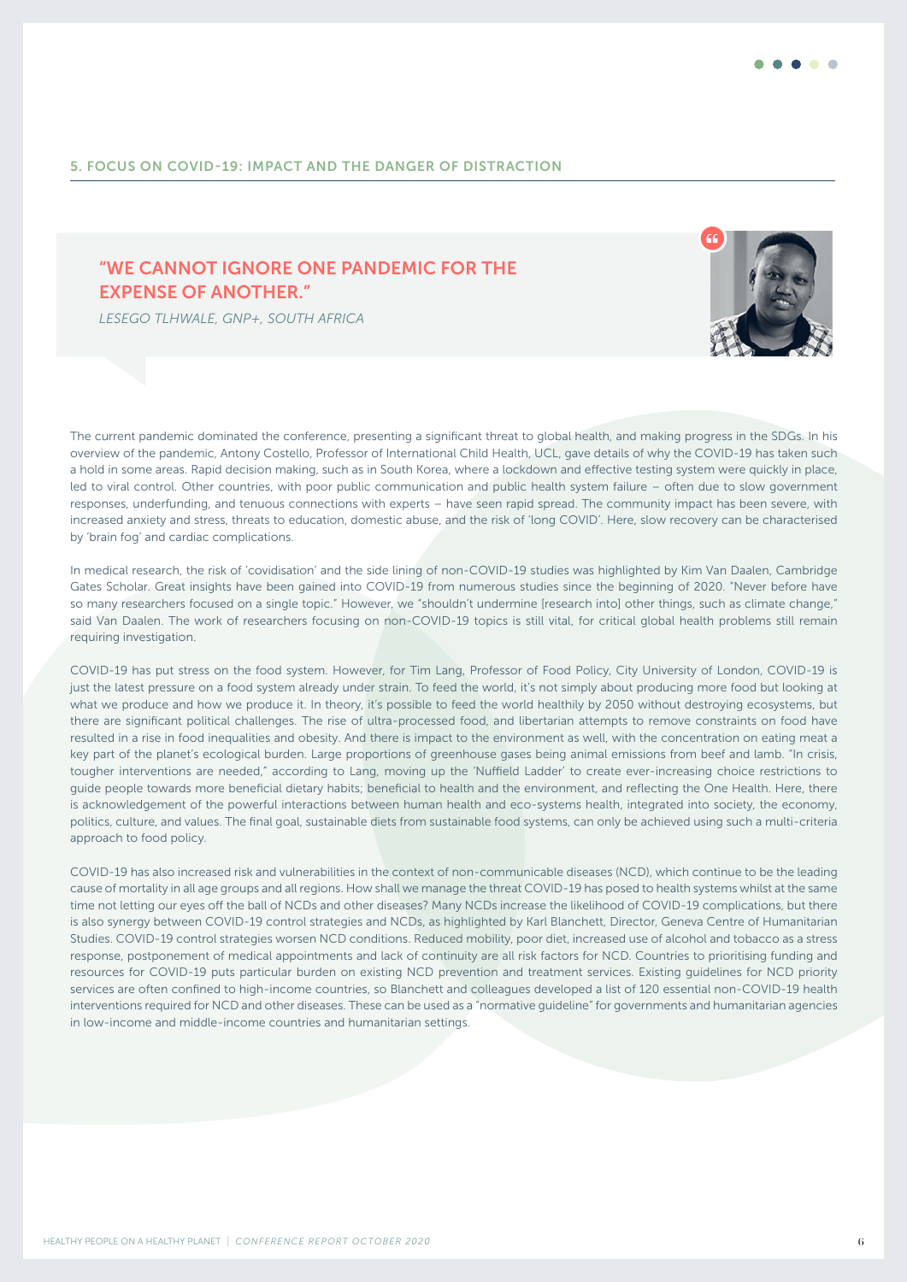#### 5. FOCUS ON COVID-19: IMPACT AND THE DANGER OF DISTRACTION

## "WE CANNOT IGNORE ONE PANDEMIC FOR THE EXPENSE OF ANOTHER."

 *LESEGO TLHWALE, GNP+, SOUTH AFRICA* 



The current pandemic dominated the conference, presenting a significant threat to global health, and making progress in the SDGs. In his overview of the pandemic, Antony Costello, Professor of International Child Health, UCL, gave details of why the COVID-19 has taken such a hold in some areas. Rapid decision making, such as in South Korea, where a lockdown and effective testing system were quickly in place, led to viral control. Other countries, with poor public communication and public health system failure – often due to slow government responses, underfunding, and tenuous connections with experts – have seen rapid spread. The community impact has been severe, with increased anxiety and stress, threats to education, domestic abuse, and the risk of 'long COVID'. Here, slow recovery can be characterised by 'brain fog' and cardiac complications.

In medical research, the risk of 'covidisation' and the side lining of non-COVID-19 studies was highlighted by Kim Van Daalen, Cambridge Gates Scholar. Great insights have been gained into COVID-19 from numerous studies since the beginning of 2020. "Never before have so many researchers focused on a single topic." However, we "shouldn't undermine [research into] other things, such as climate change," said Van Daalen. The work of researchers focusing on non-COVID-19 topics is still vital, for critical global health problems still remain requiring investigation.

COVID-19 has put stress on the food system. However, for Tim Lang, Professor of Food Policy, City University of London, COVID-19 is just the latest pressure on a food system already under strain. To feed the world, it's not simply about producing more food but looking at what we produce and how we produce it. In theory, it's possible to feed the world healthily by 2050 without destroying ecosystems, but there are significant political challenges. The rise of ultra-processed food, and libertarian attempts to remove constraints on food have resulted in a rise in food inequalities and obesity. And there is impact to the environment as well, with the concentration on eating meat a key part of the planet's ecological burden. Large proportions of greenhouse gases being animal emissions from beef and lamb. "In crisis, tougher interventions are needed," according to Lang, moving up the 'Nuffield Ladder' to create ever-increasing choice restrictions to guide people towards more beneficial dietary habits; beneficial to health and the environment, and reflecting the One Health. Here, there is acknowledgement of the powerful interactions between human health and eco-systems health, integrated into society, the economy, politics, culture, and values. The final goal, sustainable diets from sustainable food systems, can only be achieved using such a multi-criteria approach to food policy.

COVID-19 has also increased risk and vulnerabilities in the context of non-communicable diseases (NCD), which continue to be the leading cause of mortality in all age groups and all regions. How shall we manage the threat COVID-19 has posed to health systems whilst at the same time not letting our eyes off the ball of NCDs and other diseases? Many NCDs increase the likelihood of COVID-19 complications, but there is also synergy between COVID-19 control strategies and NCDs, as highlighted by Karl Blanchett, Director, Geneva Centre of Humanitarian Studies. COVID-19 control strategies worsen NCD conditions. Reduced mobility, poor diet, increased use of alcohol and tobacco as a stress response, postponement of medical appointments and lack of continuity are all risk factors for NCD. Countries to prioritising funding and resources for COVID-19 puts particular burden on existing NCD prevention and treatment services. Existing guidelines for NCD priority services are often confined to high-income countries, so Blanchett and colleagues developed a list of 120 essential non-COVID-19 health interventions required for NCD and other diseases. These can be used as a "normative guideline" for governments and humanitarian agencies in low-income and middle-income countries and humanitarian settings.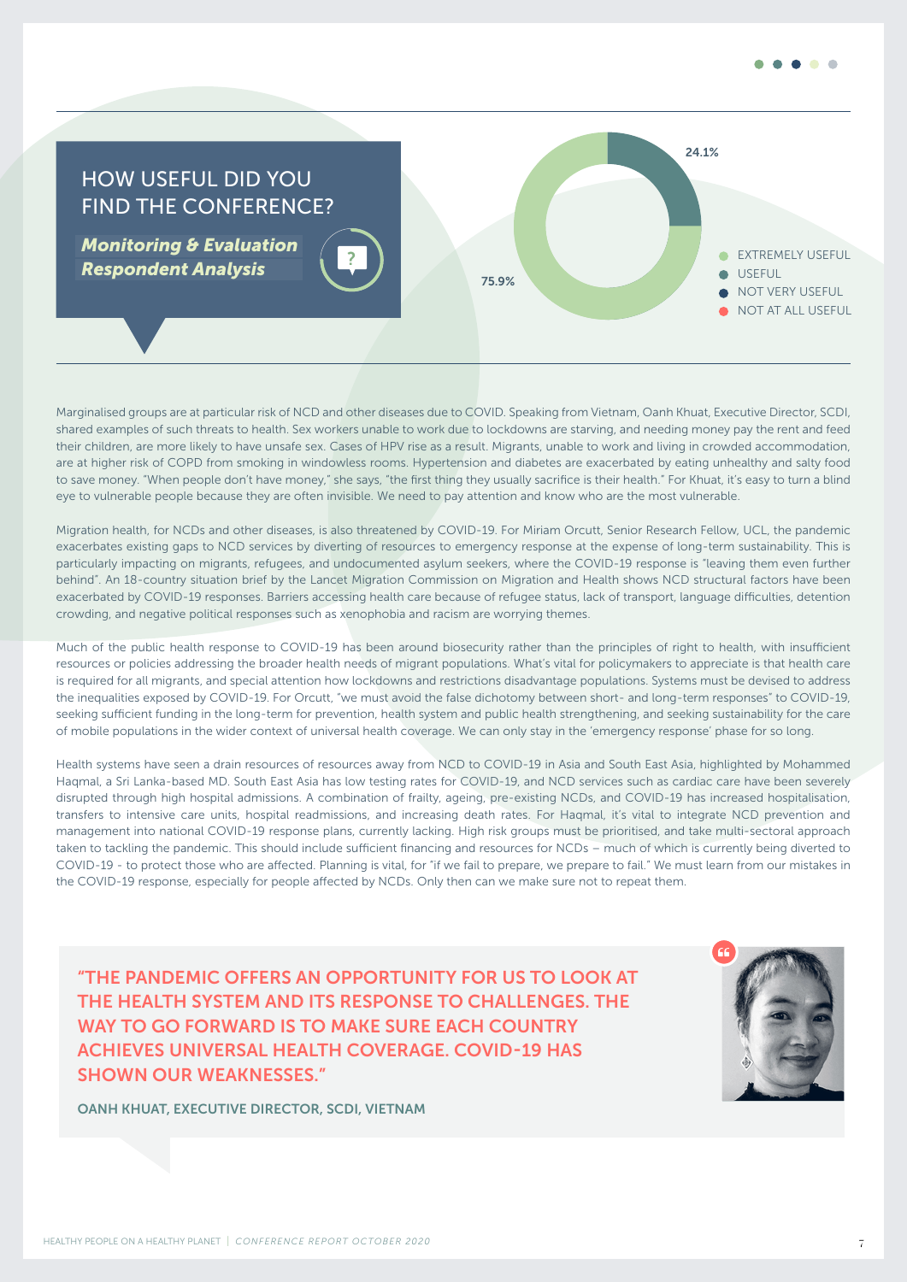



Marginalised groups are at particular risk of NCD and other diseases due to COVID. Speaking from Vietnam, Oanh Khuat, Executive Director, SCDI, shared examples of such threats to health. Sex workers unable to work due to lockdowns are starving, and needing money pay the rent and feed their children, are more likely to have unsafe sex. Cases of HPV rise as a result. Migrants, unable to work and living in crowded accommodation, are at higher risk of COPD from smoking in windowless rooms. Hypertension and diabetes are exacerbated by eating unhealthy and salty food to save money. "When people don't have money," she says, "the first thing they usually sacrifice is their health." For Khuat, it's easy to turn a blind eye to vulnerable people because they are often invisible. We need to pay attention and know who are the most vulnerable.

Migration health, for NCDs and other diseases, is also threatened by COVID-19. For Miriam Orcutt, Senior Research Fellow, UCL, the pandemic exacerbates existing gaps to NCD services by diverting of resources to emergency response at the expense of long-term sustainability. This is particularly impacting on migrants, refugees, and undocumented asylum seekers, where the COVID-19 response is "leaving them even further behind". An 18-country situation brief by the Lancet Migration Commission on Migration and Health shows NCD structural factors have been exacerbated by COVID-19 responses. Barriers accessing health care because of refugee status, lack of transport, language difficulties, detention crowding, and negative political responses such as xenophobia and racism are worrying themes.

Much of the public health response to COVID-19 has been around biosecurity rather than the principles of right to health, with insufficient resources or policies addressing the broader health needs of migrant populations. What's vital for policymakers to appreciate is that health care is required for all migrants, and special attention how lockdowns and restrictions disadvantage populations. Systems must be devised to address the inequalities exposed by COVID-19. For Orcutt, "we must avoid the false dichotomy between short- and long-term responses" to COVID-19, seeking sufficient funding in the long-term for prevention, health system and public health strengthening, and seeking sustainability for the care of mobile populations in the wider context of universal health coverage. We can only stay in the 'emergency response' phase for so long.

Health systems have seen a drain resources of resources away from NCD to COVID-19 in Asia and South East Asia, highlighted by Mohammed Haqmal, a Sri Lanka-based MD. South East Asia has low testing rates for COVID-19, and NCD services such as cardiac care have been severely disrupted through high hospital admissions. A combination of frailty, ageing, pre-existing NCDs, and COVID-19 has increased hospitalisation, transfers to intensive care units, hospital readmissions, and increasing death rates. For Haqmal, it's vital to integrate NCD prevention and management into national COVID-19 response plans, currently lacking. High risk groups must be prioritised, and take multi-sectoral approach taken to tackling the pandemic. This should include sufficient financing and resources for NCDs – much of which is currently being diverted to COVID-19 - to protect those who are affected. Planning is vital, for "if we fail to prepare, we prepare to fail." We must learn from our mistakes in the COVID-19 response, especially for people affected by NCDs. Only then can we make sure not to repeat them.

 "THE PANDEMIC OFFERS AN OPPORTUNITY FOR US TO LOOK AT THE HEALTH SYSTEM AND ITS RESPONSE TO CHALLENGES. THE WAY TO GO FORWARD IS TO MAKE SURE EACH COUNTRY ACHIEVES UNIVERSAL HEALTH COVERAGE. COVID-19 HAS SHOWN OUR WEAKNESSES."



OANH KHUAT, EXECUTIVE DIRECTOR, SCDI, VIETNAM